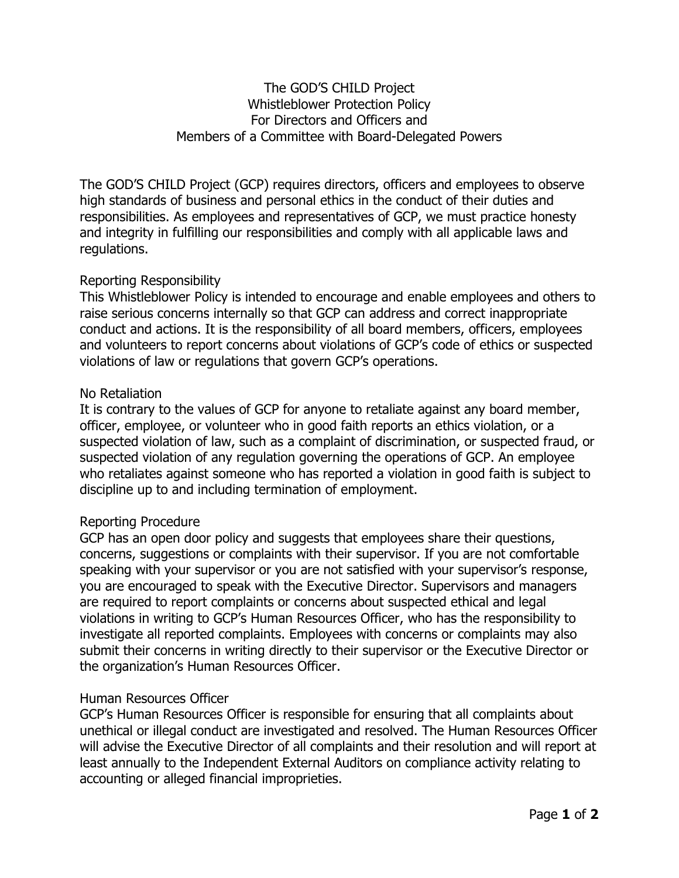# The GOD'S CHILD Project Whistleblower Protection Policy For Directors and Officers and Members of a Committee with Board-Delegated Powers

The GOD'S CHILD Project (GCP) requires directors, officers and employees to observe high standards of business and personal ethics in the conduct of their duties and responsibilities. As employees and representatives of GCP, we must practice honesty and integrity in fulfilling our responsibilities and comply with all applicable laws and regulations.

# Reporting Responsibility

This Whistleblower Policy is intended to encourage and enable employees and others to raise serious concerns internally so that GCP can address and correct inappropriate conduct and actions. It is the responsibility of all board members, officers, employees and volunteers to report concerns about violations of GCP's code of ethics or suspected violations of law or regulations that govern GCP's operations.

### No Retaliation

It is contrary to the values of GCP for anyone to retaliate against any board member, officer, employee, or volunteer who in good faith reports an ethics violation, or a suspected violation of law, such as a complaint of discrimination, or suspected fraud, or suspected violation of any regulation governing the operations of GCP. An employee who retaliates against someone who has reported a violation in good faith is subject to discipline up to and including termination of employment.

### Reporting Procedure

GCP has an open door policy and suggests that employees share their questions, concerns, suggestions or complaints with their supervisor. If you are not comfortable speaking with your supervisor or you are not satisfied with your supervisor's response, you are encouraged to speak with the Executive Director. Supervisors and managers are required to report complaints or concerns about suspected ethical and legal violations in writing to GCP's Human Resources Officer, who has the responsibility to investigate all reported complaints. Employees with concerns or complaints may also submit their concerns in writing directly to their supervisor or the Executive Director or the organization's Human Resources Officer.

### Human Resources Officer

GCP's Human Resources Officer is responsible for ensuring that all complaints about unethical or illegal conduct are investigated and resolved. The Human Resources Officer will advise the Executive Director of all complaints and their resolution and will report at least annually to the Independent External Auditors on compliance activity relating to accounting or alleged financial improprieties.